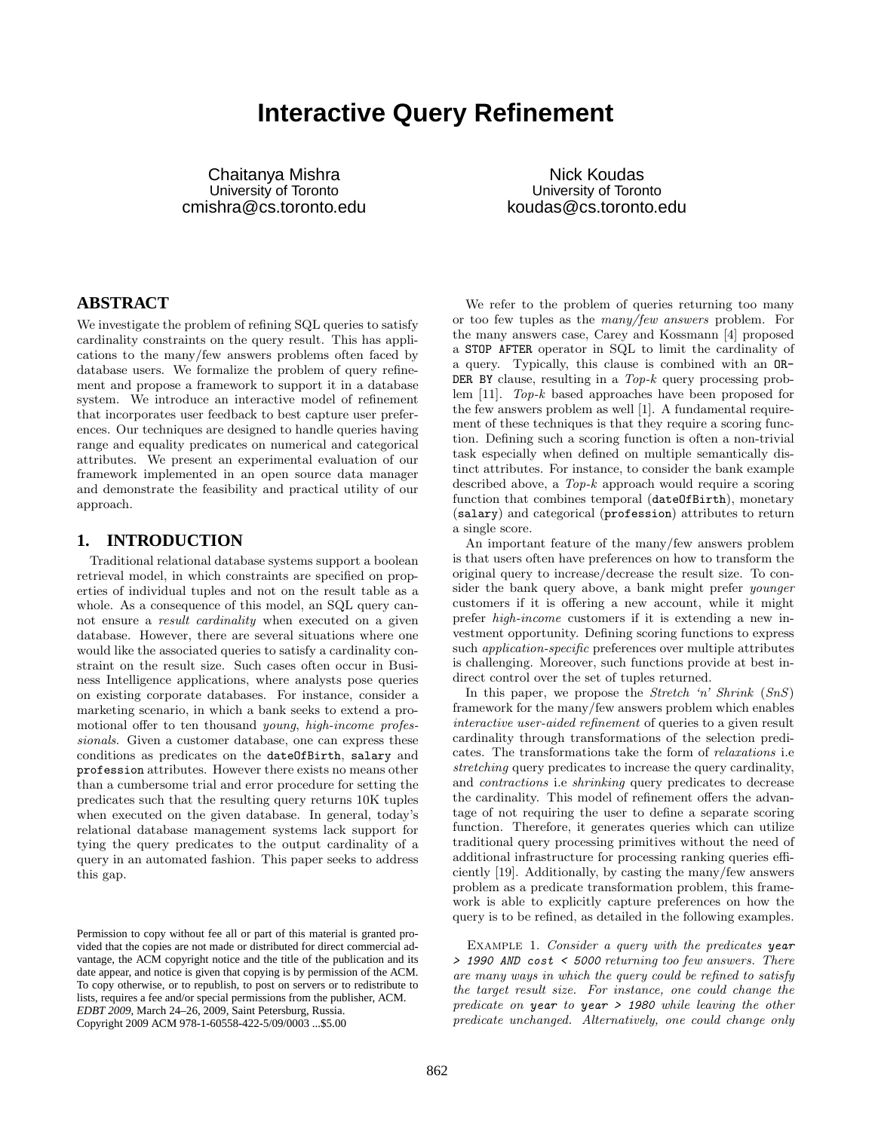# **Interactive Query Refinement**

Chaitanya Mishra University of Toronto cmishra@cs.toronto.edu

Nick Koudas University of Toronto koudas@cs.toronto.edu

# **ABSTRACT**

We investigate the problem of refining SQL queries to satisfy cardinality constraints on the query result. This has applications to the many/few answers problems often faced by database users. We formalize the problem of query refinement and propose a framework to support it in a database system. We introduce an interactive model of refinement that incorporates user feedback to best capture user preferences. Our techniques are designed to handle queries having range and equality predicates on numerical and categorical attributes. We present an experimental evaluation of our framework implemented in an open source data manager and demonstrate the feasibility and practical utility of our approach.

# **1. INTRODUCTION**

Traditional relational database systems support a boolean retrieval model, in which constraints are specified on properties of individual tuples and not on the result table as a whole. As a consequence of this model, an SQL query cannot ensure a result cardinality when executed on a given database. However, there are several situations where one would like the associated queries to satisfy a cardinality constraint on the result size. Such cases often occur in Business Intelligence applications, where analysts pose queries on existing corporate databases. For instance, consider a marketing scenario, in which a bank seeks to extend a promotional offer to ten thousand young, high-income professionals. Given a customer database, one can express these conditions as predicates on the dateOfBirth, salary and profession attributes. However there exists no means other than a cumbersome trial and error procedure for setting the predicates such that the resulting query returns 10K tuples when executed on the given database. In general, today's relational database management systems lack support for tying the query predicates to the output cardinality of a query in an automated fashion. This paper seeks to address this gap.

We refer to the problem of queries returning too many or too few tuples as the many/few answers problem. For the many answers case, Carey and Kossmann [4] proposed a STOP AFTER operator in SQL to limit the cardinality of a query. Typically, this clause is combined with an OR-DER BY clause, resulting in a Top-k query processing problem [11]. Top-k based approaches have been proposed for the few answers problem as well [1]. A fundamental requirement of these techniques is that they require a scoring function. Defining such a scoring function is often a non-trivial task especially when defined on multiple semantically distinct attributes. For instance, to consider the bank example described above, a Top-k approach would require a scoring function that combines temporal (dateOfBirth), monetary (salary) and categorical (profession) attributes to return a single score.

An important feature of the many/few answers problem is that users often have preferences on how to transform the original query to increase/decrease the result size. To consider the bank query above, a bank might prefer *younger* customers if it is offering a new account, while it might prefer high-income customers if it is extending a new investment opportunity. Defining scoring functions to express such application-specific preferences over multiple attributes is challenging. Moreover, such functions provide at best indirect control over the set of tuples returned.

In this paper, we propose the *Stretch* 'n' Shrink  $(SnS)$ framework for the many/few answers problem which enables interactive user-aided refinement of queries to a given result cardinality through transformations of the selection predicates. The transformations take the form of relaxations i.e stretching query predicates to increase the query cardinality, and contractions i.e shrinking query predicates to decrease the cardinality. This model of refinement offers the advantage of not requiring the user to define a separate scoring function. Therefore, it generates queries which can utilize traditional query processing primitives without the need of additional infrastructure for processing ranking queries efficiently [19]. Additionally, by casting the many/few answers problem as a predicate transformation problem, this framework is able to explicitly capture preferences on how the query is to be refined, as detailed in the following examples.

EXAMPLE 1. Consider a query with the predicates year > 1990 AND cost < 5000 returning too few answers. There are many ways in which the query could be refined to satisfy the target result size. For instance, one could change the predicate on year to year > 1980 while leaving the other predicate unchanged. Alternatively, one could change only

Permission to copy without fee all or part of this material is granted provided that the copies are not made or distributed for direct commercial advantage, the ACM copyright notice and the title of the publication and its date appear, and notice is given that copying is by permission of the ACM. To copy otherwise, or to republish, to post on servers or to redistribute to lists, requires a fee and/or special permissions from the publisher, ACM. *EDBT 2009*, March 24–26, 2009, Saint Petersburg, Russia. Copyright 2009 ACM 978-1-60558-422-5/09/0003 ...\$5.00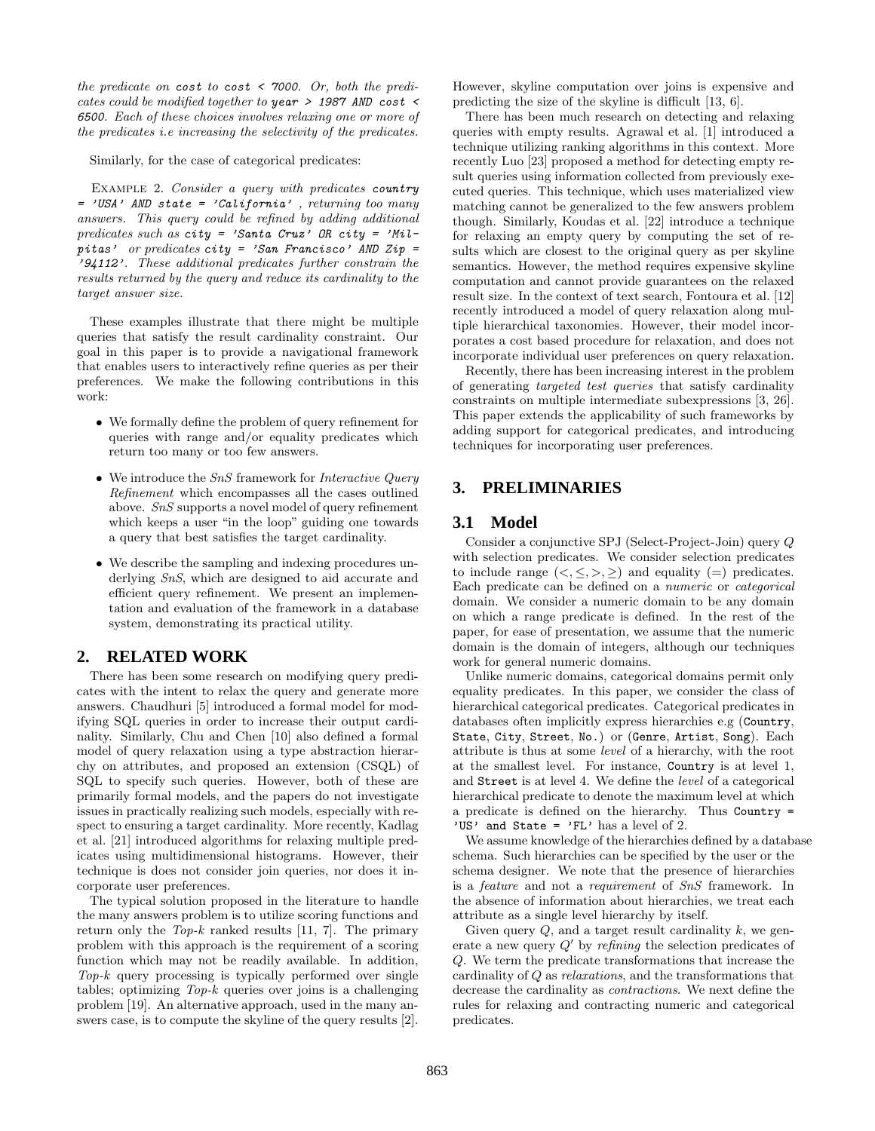the predicate on cost to cost  $\leq$  7000. Or, both the predicates could be modified together to year > 1987 AND cost < 6500. Each of these choices involves relaxing one or more of the predicates i.e increasing the selectivity of the predicates.

Similarly, for the case of categorical predicates:

EXAMPLE 2. Consider a query with predicates country  $=$  'USA' AND state = 'California', returning too many answers. This query could be refined by adding additional predicates such as  $city = 'Santa$  Cruz' OR city = 'Mil $pitas'$  or predicates city = 'San Francisco' AND Zip = '94112'. These additional predicates further constrain the results returned by the query and reduce its cardinality to the target answer size.

These examples illustrate that there might be multiple queries that satisfy the result cardinality constraint. Our goal in this paper is to provide a navigational framework that enables users to interactively refine queries as per their preferences. We make the following contributions in this work:

- We formally define the problem of query refinement for queries with range and/or equality predicates which return too many or too few answers.
- We introduce the  $SnS$  framework for *Interactive Query* Refinement which encompasses all the cases outlined above. SnS supports a novel model of query refinement which keeps a user "in the loop" guiding one towards a query that best satisfies the target cardinality.
- We describe the sampling and indexing procedures underlying SnS, which are designed to aid accurate and efficient query refinement. We present an implementation and evaluation of the framework in a database system, demonstrating its practical utility.

# **2. RELATED WORK**

There has been some research on modifying query predicates with the intent to relax the query and generate more answers. Chaudhuri [5] introduced a formal model for modifying SQL queries in order to increase their output cardinality. Similarly, Chu and Chen [10] also defined a formal model of query relaxation using a type abstraction hierarchy on attributes, and proposed an extension (CSQL) of SQL to specify such queries. However, both of these are primarily formal models, and the papers do not investigate issues in practically realizing such models, especially with respect to ensuring a target cardinality. More recently, Kadlag et al. [21] introduced algorithms for relaxing multiple predicates using multidimensional histograms. However, their technique is does not consider join queries, nor does it incorporate user preferences.

The typical solution proposed in the literature to handle the many answers problem is to utilize scoring functions and return only the  $Top-k$  ranked results [11, 7]. The primary problem with this approach is the requirement of a scoring function which may not be readily available. In addition, Top-k query processing is typically performed over single tables; optimizing  $Top-k$  queries over joins is a challenging problem [19]. An alternative approach, used in the many answers case, is to compute the skyline of the query results [2].

However, skyline computation over joins is expensive and predicting the size of the skyline is difficult [13, 6].

There has been much research on detecting and relaxing queries with empty results. Agrawal et al. [1] introduced a technique utilizing ranking algorithms in this context. More recently Luo [23] proposed a method for detecting empty result queries using information collected from previously executed queries. This technique, which uses materialized view matching cannot be generalized to the few answers problem though. Similarly, Koudas et al. [22] introduce a technique for relaxing an empty query by computing the set of results which are closest to the original query as per skyline semantics. However, the method requires expensive skyline computation and cannot provide guarantees on the relaxed result size. In the context of text search, Fontoura et al. [12] recently introduced a model of query relaxation along multiple hierarchical taxonomies. However, their model incorporates a cost based procedure for relaxation, and does not incorporate individual user preferences on query relaxation.

Recently, there has been increasing interest in the problem of generating targeted test queries that satisfy cardinality constraints on multiple intermediate subexpressions [3, 26]. This paper extends the applicability of such frameworks by adding support for categorical predicates, and introducing techniques for incorporating user preferences.

# **3. PRELIMINARIES**

## **3.1 Model**

Consider a conjunctive SPJ (Select-Project-Join) query Q with selection predicates. We consider selection predicates to include range  $(<, \leq, >, \geq)$  and equality (=) predicates. Each predicate can be defined on a numeric or categorical domain. We consider a numeric domain to be any domain on which a range predicate is defined. In the rest of the paper, for ease of presentation, we assume that the numeric domain is the domain of integers, although our techniques work for general numeric domains.

Unlike numeric domains, categorical domains permit only equality predicates. In this paper, we consider the class of hierarchical categorical predicates. Categorical predicates in databases often implicitly express hierarchies e.g (Country, State, City, Street, No.) or (Genre, Artist, Song). Each attribute is thus at some level of a hierarchy, with the root at the smallest level. For instance, Country is at level 1, and Street is at level 4. We define the level of a categorical hierarchical predicate to denote the maximum level at which a predicate is defined on the hierarchy. Thus Country = 'US' and State = 'FL' has a level of 2.

We assume knowledge of the hierarchies defined by a database schema. Such hierarchies can be specified by the user or the schema designer. We note that the presence of hierarchies is a feature and not a requirement of SnS framework. In the absence of information about hierarchies, we treat each attribute as a single level hierarchy by itself.

Given query  $Q$ , and a target result cardinality  $k$ , we generate a new query  $Q'$  by refining the selection predicates of Q. We term the predicate transformations that increase the cardinality of Q as relaxations, and the transformations that decrease the cardinality as contractions. We next define the rules for relaxing and contracting numeric and categorical predicates.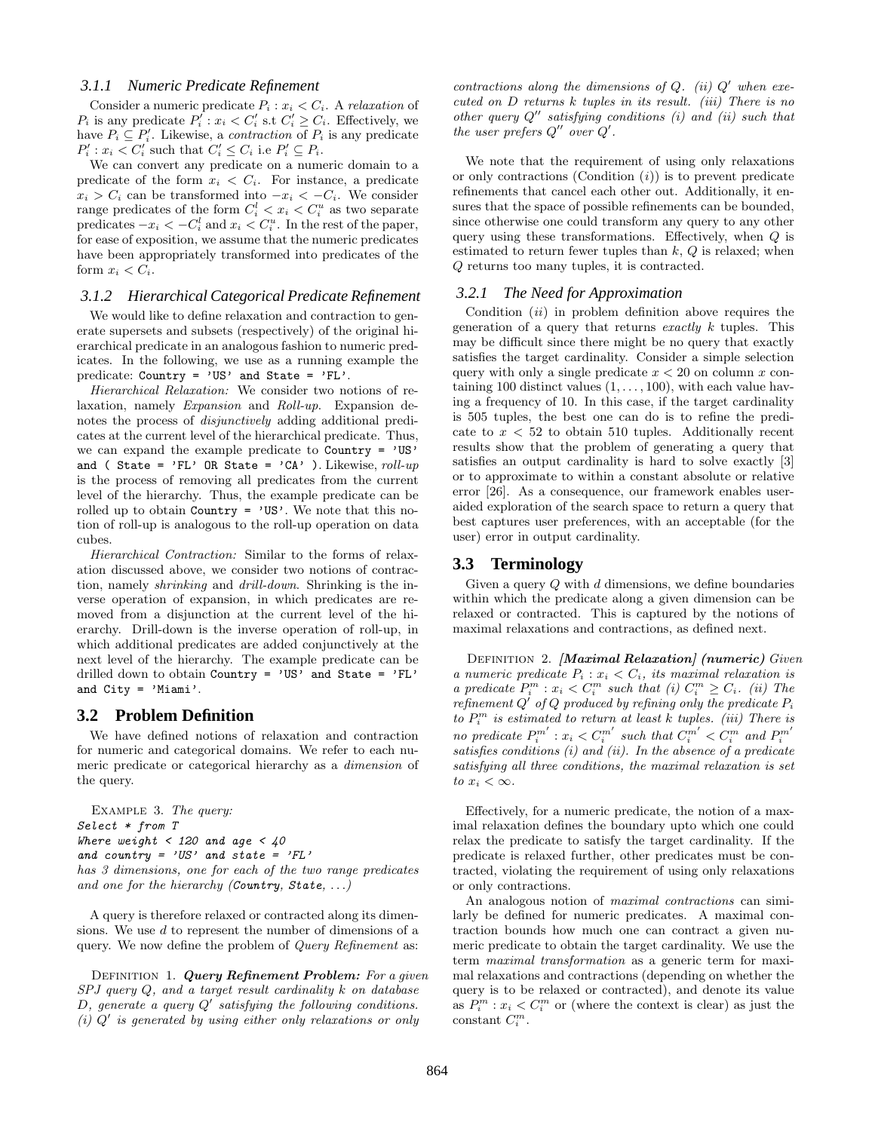## *3.1.1 Numeric Predicate Refinement*

Consider a numeric predicate  $P_i : x_i \leq C_i$ . A relaxation of  $P_i$  is any predicate  $P'_i$ :  $x_i < C'_i$  s.t  $C'_i \geq C_i$ . Effectively, we have  $P_i \subseteq P'_i$ . Likewise, a *contraction* of  $P_i$  is any predicate  $P'_i: x_i \leq C'_i$  such that  $C'_i \leq C_i$  i.e  $P'_i \subseteq P_i$ .

We can convert any predicate on a numeric domain to a predicate of the form  $x_i \leq C_i$ . For instance, a predicate  $x_i > C_i$  can be transformed into  $-x_i < -C_i$ . We consider range predicates of the form  $C_i^l < x_i < C_i^u$  as two separate predicates  $-x_i < -C_i^l$  and  $x_i < C_i^u$ . In the rest of the paper, for ease of exposition, we assume that the numeric predicates have been appropriately transformed into predicates of the form  $x_i < C_i$ .

#### *3.1.2 Hierarchical Categorical Predicate Refinement*

We would like to define relaxation and contraction to generate supersets and subsets (respectively) of the original hierarchical predicate in an analogous fashion to numeric predicates. In the following, we use as a running example the predicate: Country = 'US' and State = 'FL'.

Hierarchical Relaxation: We consider two notions of relaxation, namely Expansion and Roll-up. Expansion denotes the process of *disjunctively* adding additional predicates at the current level of the hierarchical predicate. Thus, we can expand the example predicate to  $Country = 'US'$ and ( State =  $'FL'$  OR State =  $'CA'$  ). Likewise,  $roll-up$ is the process of removing all predicates from the current level of the hierarchy. Thus, the example predicate can be rolled up to obtain Country =  $'US'$ . We note that this notion of roll-up is analogous to the roll-up operation on data cubes.

Hierarchical Contraction: Similar to the forms of relaxation discussed above, we consider two notions of contraction, namely shrinking and drill-down. Shrinking is the inverse operation of expansion, in which predicates are removed from a disjunction at the current level of the hierarchy. Drill-down is the inverse operation of roll-up, in which additional predicates are added conjunctively at the next level of the hierarchy. The example predicate can be drilled down to obtain Country =  $'US'$  and State =  $'FL'$ and  $City = 'Main'.$ 

#### **3.2 Problem Definition**

We have defined notions of relaxation and contraction for numeric and categorical domains. We refer to each numeric predicate or categorical hierarchy as a dimension of the query.

Example 3. The query: Select \* from T Where weight  $<$  120 and age  $<$  40 and country =  $'US'$  and state =  $'FL'$ has 3 dimensions, one for each of the two range predicates and one for the hierarchy (Country, State,  $\ldots$ )

A query is therefore relaxed or contracted along its dimensions. We use d to represent the number of dimensions of a query. We now define the problem of *Query Refinement* as:

DEFINITION 1. Query Refinement Problem: For a given SPJ query Q, and a target result cardinality k on database  $D$ , generate a query  $Q'$  satisfying the following conditions.  $(i)$   $Q'$  is generated by using either only relaxations or only

contractions along the dimensions of  $Q$ . (ii)  $Q'$  when executed on D returns k tuples in its result. (iii) There is no other query  $Q''$  satisfying conditions (i) and (ii) such that the user prefers  $Q''$  over  $Q'$ .

We note that the requirement of using only relaxations or only contractions (Condition  $(i)$ ) is to prevent predicate refinements that cancel each other out. Additionally, it ensures that the space of possible refinements can be bounded, since otherwise one could transform any query to any other query using these transformations. Effectively, when Q is estimated to return fewer tuples than  $k$ ,  $Q$  is relaxed; when Q returns too many tuples, it is contracted.

#### *3.2.1 The Need for Approximation*

Condition  $(ii)$  in problem definition above requires the generation of a query that returns exactly  $k$  tuples. This may be difficult since there might be no query that exactly satisfies the target cardinality. Consider a simple selection query with only a single predicate  $x < 20$  on column x containing 100 distinct values  $(1, \ldots, 100)$ , with each value having a frequency of 10. In this case, if the target cardinality is 505 tuples, the best one can do is to refine the predicate to  $x < 52$  to obtain 510 tuples. Additionally recent results show that the problem of generating a query that satisfies an output cardinality is hard to solve exactly [3] or to approximate to within a constant absolute or relative error [26]. As a consequence, our framework enables useraided exploration of the search space to return a query that best captures user preferences, with an acceptable (for the user) error in output cardinality.

#### **3.3 Terminology**

Given a query  $Q$  with  $d$  dimensions, we define boundaries within which the predicate along a given dimension can be relaxed or contracted. This is captured by the notions of maximal relaxations and contractions, as defined next.

DEFINITION 2. [Maximal Relaxation] (numeric) Given a numeric predicate  $P_i : x_i < C_i$ , its maximal relaxation is a predicate  $P_i^m: x_i < C_i^m$  such that (i)  $C_i^m \geq C_i$ . (ii) The refinement  $Q'$  of  $Q$  produced by refining only the predicate  $P_i$ to  $P_i^m$  is estimated to return at least k tuples. (iii) There is no predicate  $P_i^{m'}$ :  $x_i < C_i^{m'}$  such that  $C_i^{m'} < C_i^{m}$  and  $P_i^{m'}$ satisfies conditions  $(i)$  and  $(ii)$ . In the absence of a predicate satisfying all three conditions, the maximal relaxation is set to  $x_i < \infty$ .

Effectively, for a numeric predicate, the notion of a maximal relaxation defines the boundary upto which one could relax the predicate to satisfy the target cardinality. If the predicate is relaxed further, other predicates must be contracted, violating the requirement of using only relaxations or only contractions.

An analogous notion of maximal contractions can similarly be defined for numeric predicates. A maximal contraction bounds how much one can contract a given numeric predicate to obtain the target cardinality. We use the term maximal transformation as a generic term for maximal relaxations and contractions (depending on whether the query is to be relaxed or contracted), and denote its value as  $P_i^m: x_i < C_i^m$  or (where the context is clear) as just the constant  $C_i^m$ .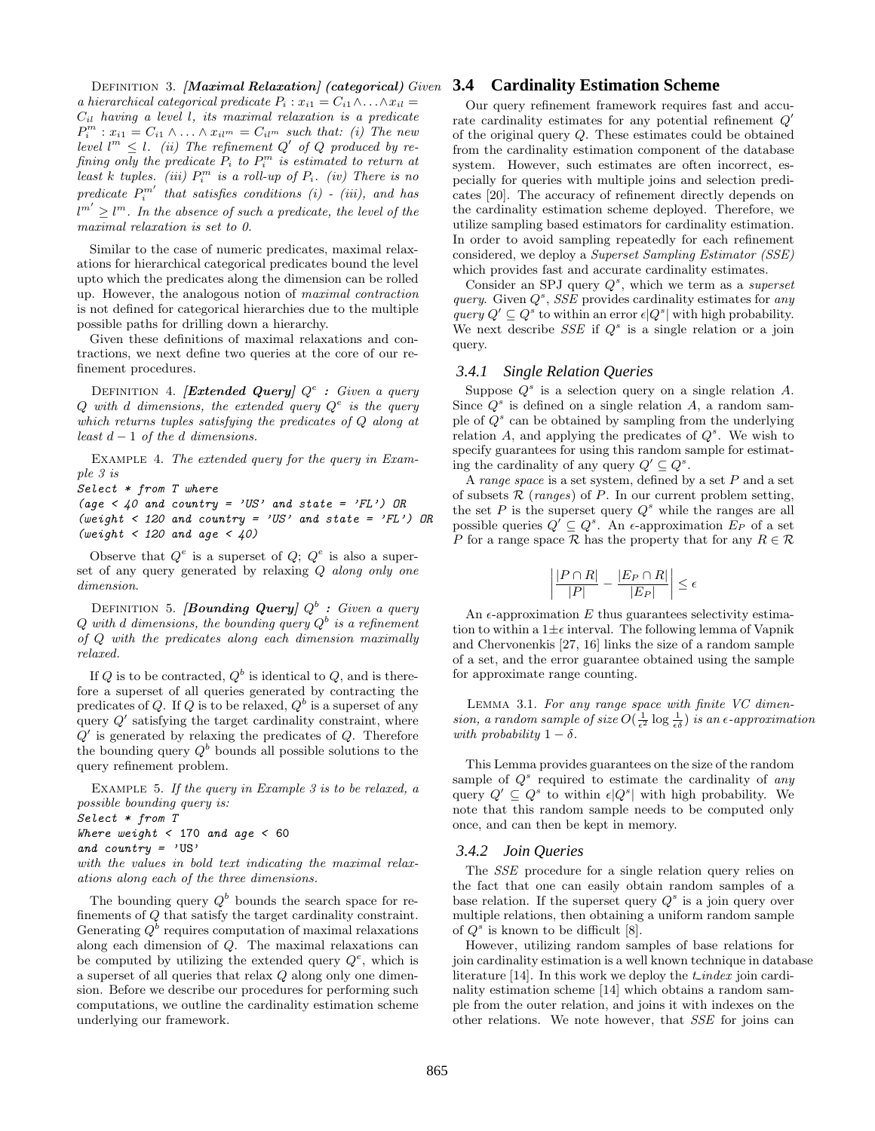DEFINITION 3. [Maximal Relaxation] (categorical) Given a hierarchical categorical predicate  $P_i : x_{i1} = C_{i1} \wedge \ldots \wedge x_{i1} =$  $C_{il}$  having a level l, its maximal relaxation is a predicate  $P_i^m: x_{i1} = C_{i1} \wedge \ldots \wedge x_{il^m} = C_{il^m}$  such that: (i) The new level  $l^m \leq l$ . (ii) The refinement Q' of Q produced by refining only the predicate  $P_i$  to  $P_i^m$  is estimated to return at least k tuples. (iii)  $P_i^m$  is a roll-up of  $P_i$ . (iv) There is no predicate  $P_i^{m'}$  that satisfies conditions (i) - (iii), and has  $\mathcal{L}^{m'} \geq \mathcal{L}^m$ . In the absence of such a predicate, the level of the maximal relaxation is set to 0.

Similar to the case of numeric predicates, maximal relaxations for hierarchical categorical predicates bound the level upto which the predicates along the dimension can be rolled up. However, the analogous notion of maximal contraction is not defined for categorical hierarchies due to the multiple possible paths for drilling down a hierarchy.

Given these definitions of maximal relaxations and contractions, we next define two queries at the core of our refinement procedures.

DEFINITION 4. *[Extended Query]*  $Q^e$  : Given a query Q with d dimensions, the extended query  $Q^e$  is the query which returns tuples satisfying the predicates of Q along at least  $d-1$  of the d dimensions.

EXAMPLE 4. The extended query for the query in Example 3 is

```
Select * from T where
```
(age  $\langle 40 \text{ and country} = 'US' \text{ and state} = 'FL') \text{ OR}$ (weight < 120 and country = 'US' and state = 'FL') OR (weight  $\langle$  120 and age  $\langle$  40)

Observe that  $Q^e$  is a superset of  $Q$ ;  $Q^e$  is also a superset of any query generated by relaxing Q along only one dimension.

DEFINITION 5. *[Bounding Query]*  $Q^b$  *: Given a query*  $Q$  with  $d$  dimensions, the bounding query  $Q^b$  is a refinement of Q with the predicates along each dimension maximally relaxed.

If Q is to be contracted,  $Q^b$  is identical to Q, and is therefore a superset of all queries generated by contracting the predicates of Q. If Q is to be relaxed,  $Q<sup>b</sup>$  is a superset of any query  $Q'$  satisfying the target cardinality constraint, where  $Q'$  is generated by relaxing the predicates of  $Q$ . Therefore the bounding query  $Q^b$  bounds all possible solutions to the query refinement problem.

EXAMPLE 5. If the query in Example  $\beta$  is to be relaxed, a possible bounding query is: Select \* from T Where weight  $<$  170 and age  $<$  60

and country =  $'US'$ 

with the values in bold text indicating the maximal relaxations along each of the three dimensions.

The bounding query  $Q^b$  bounds the search space for refinements of Q that satisfy the target cardinality constraint. Generating  $Q^b$  requires computation of maximal relaxations along each dimension of Q. The maximal relaxations can be computed by utilizing the extended query  $Q^e$ , which is a superset of all queries that relax Q along only one dimension. Before we describe our procedures for performing such computations, we outline the cardinality estimation scheme underlying our framework.

## **3.4 Cardinality Estimation Scheme**

Our query refinement framework requires fast and accurate cardinality estimates for any potential refinement  $Q'$ of the original query Q. These estimates could be obtained from the cardinality estimation component of the database system. However, such estimates are often incorrect, especially for queries with multiple joins and selection predicates [20]. The accuracy of refinement directly depends on the cardinality estimation scheme deployed. Therefore, we utilize sampling based estimators for cardinality estimation. In order to avoid sampling repeatedly for each refinement considered, we deploy a Superset Sampling Estimator (SSE) which provides fast and accurate cardinality estimates.

Consider an SPJ query  $Q^s$ , which we term as a *superset* query. Given  $Q^s$ , SSE provides cardinality estimates for any query  $Q' \subseteq Q^s$  to within an error  $\epsilon |Q^s|$  with high probability. We next describe  $SSE$  if  $Q<sup>s</sup>$  is a single relation or a join query.

## *3.4.1 Single Relation Queries*

Suppose  $Q^s$  is a selection query on a single relation A. Since  $Q^s$  is defined on a single relation A, a random sample of  $Q^s$  can be obtained by sampling from the underlying relation  $A$ , and applying the predicates of  $Q^s$ . We wish to specify guarantees for using this random sample for estimating the cardinality of any query  $Q' \subseteq Q^s$ .

A range space is a set system, defined by a set  $P$  and a set of subsets  $\mathcal R$  (ranges) of P. In our current problem setting, the set  $P$  is the superset query  $Q^s$  while the ranges are all possible queries  $Q' \subseteq Q^s$ . An  $\epsilon$ -approximation  $E_P$  of a set P for a range space R has the property that for any  $R \in \mathcal{R}$ 

$$
\left| \frac{|P \cap R|}{|P|} - \frac{|E_P \cap R|}{|E_P|} \right| \le \epsilon
$$

An  $\epsilon$ -approximation E thus guarantees selectivity estimation to within a  $1 \pm \epsilon$  interval. The following lemma of Vapnik and Chervonenkis [27, 16] links the size of a random sample of a set, and the error guarantee obtained using the sample for approximate range counting.

Lemma 3.1. For any range space with finite VC dimension, a random sample of size  $O(\frac{1}{\epsilon^2} \log \frac{1}{\epsilon \delta})$  is an  $\epsilon$ -approximation with probability  $1 - \delta$ .

This Lemma provides guarantees on the size of the random sample of  $Q^s$  required to estimate the cardinality of any query  $Q' \subseteq Q^s$  to within  $\epsilon |Q^s|$  with high probability. We note that this random sample needs to be computed only once, and can then be kept in memory.

#### *3.4.2 Join Queries*

The SSE procedure for a single relation query relies on the fact that one can easily obtain random samples of a base relation. If the superset query  $Q^s$  is a join query over multiple relations, then obtaining a uniform random sample of  $Q^s$  is known to be difficult [8].

However, utilizing random samples of base relations for join cardinality estimation is a well known technique in database literature [14]. In this work we deploy the  $t\_index$  join cardinality estimation scheme [14] which obtains a random sample from the outer relation, and joins it with indexes on the other relations. We note however, that SSE for joins can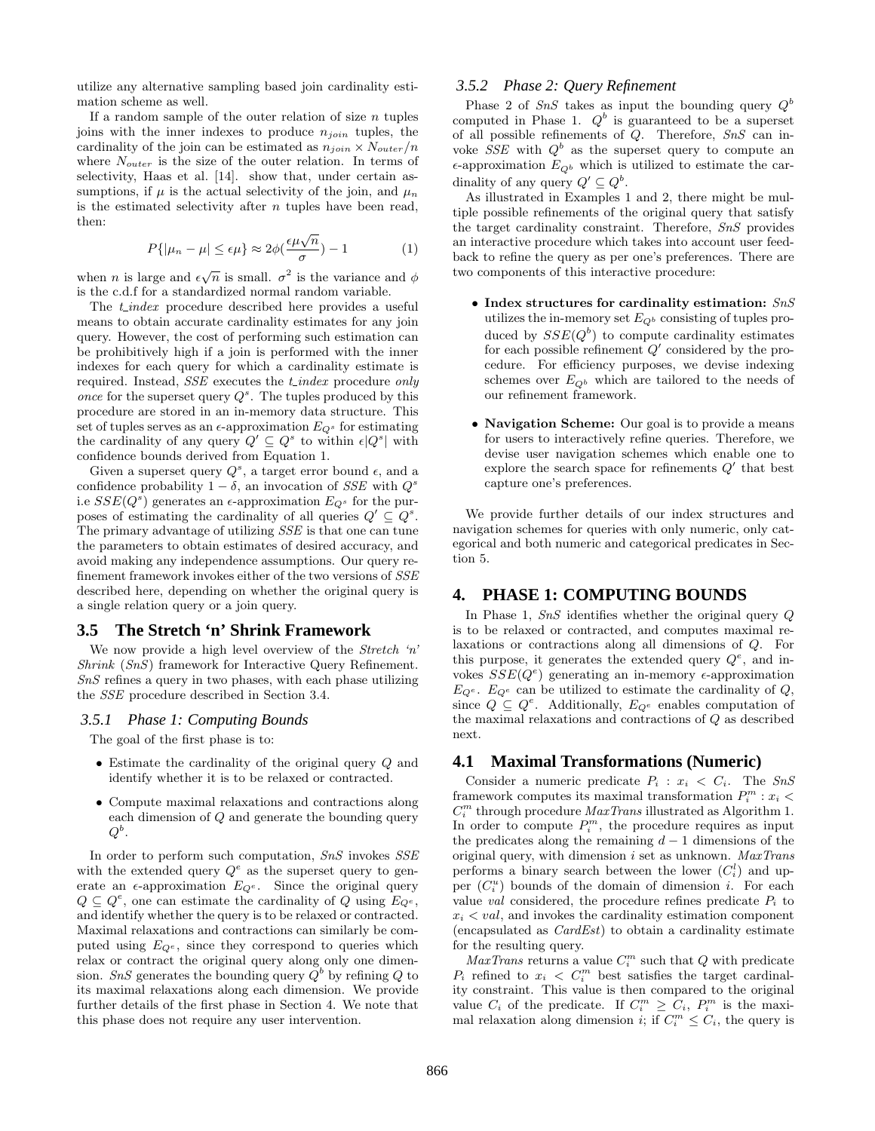utilize any alternative sampling based join cardinality estimation scheme as well.

If a random sample of the outer relation of size  $n$  tuples joins with the inner indexes to produce  $n_{join}$  tuples, the cardinality of the join can be estimated as  $n_{join} \times N_{outer}/n$ where  $N_{outer}$  is the size of the outer relation. In terms of selectivity, Haas et al. [14]. show that, under certain assumptions, if  $\mu$  is the actual selectivity of the join, and  $\mu_n$ is the estimated selectivity after  $n$  tuples have been read, then:

$$
P\{|\mu_n - \mu| \le \epsilon \mu\} \approx 2\phi\left(\frac{\epsilon\mu\sqrt{n}}{\sigma}\right) - 1\tag{1}
$$

when *n* is large and  $\epsilon \sqrt{n}$  is small.  $\sigma^2$  is the variance and  $\phi$ is the c.d.f for a standardized normal random variable.

The  $t\_index$  procedure described here provides a useful means to obtain accurate cardinality estimates for any join query. However, the cost of performing such estimation can be prohibitively high if a join is performed with the inner indexes for each query for which a cardinality estimate is required. Instead,  $SSE$  executes the  $t\_index$  procedure only once for the superset query  $Q^s$ . The tuples produced by this procedure are stored in an in-memory data structure. This set of tuples serves as an  $\epsilon$ -approximation  $E_{\mathcal{Q}^s}$  for estimating the cardinality of any query  $Q' \subseteq Q^s$  to within  $\epsilon |Q^s|$  with confidence bounds derived from Equation 1.

Given a superset query  $Q^s$ , a target error bound  $\epsilon$ , and a confidence probability  $1 - \delta$ , an invocation of SSE with  $Q^s$ i.e  $SSE(Q<sup>s</sup>)$  generates an  $\epsilon$ -approximation  $E_{Q<sup>s</sup>}$  for the purposes of estimating the cardinality of all queries  $Q' \subseteq Q^s$ . The primary advantage of utilizing SSE is that one can tune the parameters to obtain estimates of desired accuracy, and avoid making any independence assumptions. Our query refinement framework invokes either of the two versions of SSE described here, depending on whether the original query is a single relation query or a join query.

## **3.5 The Stretch 'n' Shrink Framework**

We now provide a high level overview of the Stretch 'n' Shrink (SnS) framework for Interactive Query Refinement. SnS refines a query in two phases, with each phase utilizing the SSE procedure described in Section 3.4.

## *3.5.1 Phase 1: Computing Bounds*

The goal of the first phase is to:

- Estimate the cardinality of the original query Q and identify whether it is to be relaxed or contracted.
- Compute maximal relaxations and contractions along each dimension of Q and generate the bounding query  $Q^b.$

In order to perform such computation,  $SnS$  invokes  $SSE$ with the extended query  $Q^e$  as the superset query to generate an  $\epsilon$ -approximation  $E_{Q}e$ . Since the original query  $Q \subseteq Q^e$ , one can estimate the cardinality of Q using  $E_{Q^e}$ , and identify whether the query is to be relaxed or contracted. Maximal relaxations and contractions can similarly be computed using  $E_{Q^e}$ , since they correspond to queries which relax or contract the original query along only one dimension. SnS generates the bounding query  $Q^b$  by refining Q to its maximal relaxations along each dimension. We provide further details of the first phase in Section 4. We note that this phase does not require any user intervention.

#### *3.5.2 Phase 2: Query Refinement*

Phase 2 of SnS takes as input the bounding query  $Q^b$ computed in Phase 1.  $Q^b$  is guaranteed to be a superset of all possible refinements of  $Q$ . Therefore,  $SnS$  can invoke  $SSE$  with  $Q<sup>b</sup>$  as the superset query to compute an  $\epsilon$ -approximation  $E_{Q^b}$  which is utilized to estimate the cardinality of any query  $Q' \subseteq Q^b$ .

As illustrated in Examples 1 and 2, there might be multiple possible refinements of the original query that satisfy the target cardinality constraint. Therefore,  $SnS$  provides an interactive procedure which takes into account user feedback to refine the query as per one's preferences. There are two components of this interactive procedure:

- Index structures for cardinality estimation:  $SnS$ utilizes the in-memory set  $E_{Q^b}$  consisting of tuples produced by  $SSE(Q^b)$  to compute cardinality estimates for each possible refinement  $Q'$  considered by the procedure. For efficiency purposes, we devise indexing schemes over  $E_{\mathcal{O}^b}$  which are tailored to the needs of our refinement framework.
- Navigation Scheme: Our goal is to provide a means for users to interactively refine queries. Therefore, we devise user navigation schemes which enable one to explore the search space for refinements  $Q'$  that best capture one's preferences.

We provide further details of our index structures and navigation schemes for queries with only numeric, only categorical and both numeric and categorical predicates in Section 5.

## **4. PHASE 1: COMPUTING BOUNDS**

In Phase 1,  $SnS$  identifies whether the original query  $Q$ is to be relaxed or contracted, and computes maximal relaxations or contractions along all dimensions of Q. For this purpose, it generates the extended query  $Q^e$ , and invokes  $SSE(Q<sup>e</sup>)$  generating an in-memory  $\epsilon$ -approximation  $E_{Q^e}$ .  $E_{Q^e}$  can be utilized to estimate the cardinality of Q, since  $Q \subseteq Q^e$ . Additionally,  $E_{Q^e}$  enables computation of the maximal relaxations and contractions of Q as described next.

## **4.1 Maximal Transformations (Numeric)**

Consider a numeric predicate  $P_i : x_i \leq C_i$ . The  $SnS$ framework computes its maximal transformation  $P_i^m : x_i$  $C_i^m$  through procedure  $MaxTrans$  illustrated as Algorithm 1. In order to compute  $P_i^m$ , the procedure requires as input the predicates along the remaining  $d-1$  dimensions of the original query, with dimension i set as unknown. MaxTrans performs a binary search between the lower  $(C_i^l)$  and upper  $(C_i^u)$  bounds of the domain of dimension i. For each value val considered, the procedure refines predicate  $P_i$  to  $x_i < val$ , and invokes the cardinality estimation component (encapsulated as CardEst) to obtain a cardinality estimate for the resulting query.

 $MaxTrans$  returns a value  $C_i^m$  such that Q with predicate  $P_i$  refined to  $x_i \leq C_i^m$  best satisfies the target cardinality constraint. This value is then compared to the original value  $C_i$  of the predicate. If  $C_i^m \geq C_i$ ,  $P_i^m$  is the maximal relaxation along dimension *i*; if  $C_i^m \leq C_i$ , the query is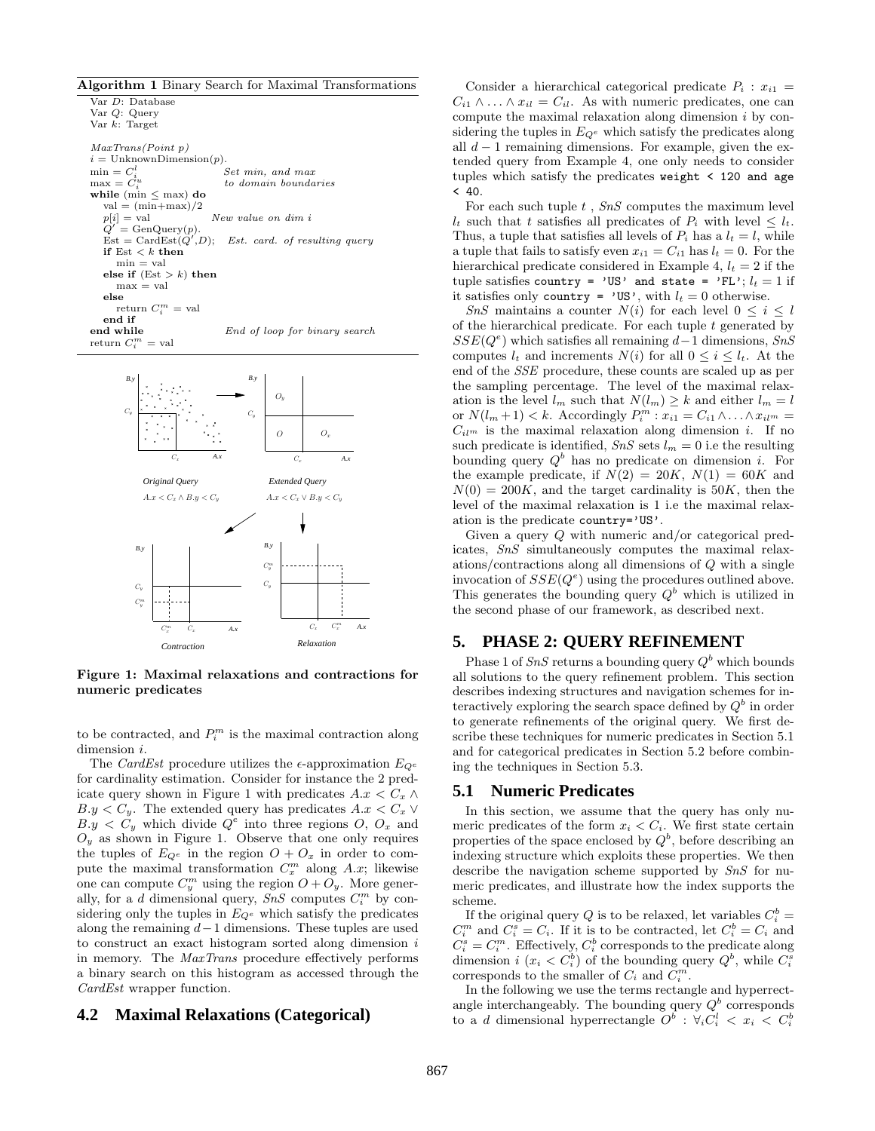#### Algorithm 1 Binary Search for Maximal Transformations

Var D: Database Var Q: Query Var k: Target MaxTrans(Point p)  $i =$  UnknownDimension $(p)$ .  $\min = C_i^l$ Set min, and max  $\max = \overline{C}_i^u$ to domain boundaries while  $(min \leq max)$  do val =  $(\text{min}+\text{max})/2$ <br>  $p[i]$  = val New value on dim i  $Q' = \text{GenQuery}(p)$ .  $\text{Est} = \text{CardEst}(\dot{Q}', D);$ Est. card. of resulting query if  $\mathrm{Est} < k$  then  $min = val$ else if  $(Est > k)$  then  $max = val$ else return  $C_i^m = \text{val}$ end if end while  $End of loop for binary search$ return  $\mathbb{C}^m_i$  $=$  val



Figure 1: Maximal relaxations and contractions for numeric predicates

to be contracted, and  $P_i^m$  is the maximal contraction along dimension  $i$ .

The CardEst procedure utilizes the  $\epsilon$ -approximation  $E_{Q^e}$ for cardinality estimation. Consider for instance the 2 predicate query shown in Figure 1 with predicates  $A.x < C_x \wedge$  $B.y < C_y$ . The extended query has predicates  $A.x < C_x$   $\vee$  $B.y < C_y$  which divide  $Q^e$  into three regions O,  $O_x$  and  $O_y$  as shown in Figure 1. Observe that one only requires the tuples of  $E_{Q^e}$  in the region  $O + O_x$  in order to compute the maximal transformation  $C_x^m$  along A.x; likewise one can compute  $C_y^m$  using the region  $O+O_y$ . More generally, for a *d* dimensional query,  $SnS$  computes  $C_i^m$  by considering only the tuples in  $E_{Q^e}$  which satisfy the predicates along the remaining  $d-1$  dimensions. These tuples are used to construct an exact histogram sorted along dimension  $i$ in memory. The MaxTrans procedure effectively performs a binary search on this histogram as accessed through the CardEst wrapper function.

## **4.2 Maximal Relaxations (Categorical)**

Consider a hierarchical categorical predicate  $P_i : x_{i1} =$  $C_{i1} \wedge \ldots \wedge x_{il} = C_{il}$ . As with numeric predicates, one can compute the maximal relaxation along dimension  $i$  by considering the tuples in  $E_{Q^e}$  which satisfy the predicates along all  $d - 1$  remaining dimensions. For example, given the extended query from Example 4, one only needs to consider tuples which satisfy the predicates weight < 120 and age  $< 40.$ 

For each such tuple  $t$ ,  $SnS$  computes the maximum level  $l_t$  such that t satisfies all predicates of  $P_i$  with level  $\leq l_t$ . Thus, a tuple that satisfies all levels of  $P_i$  has a  $l_t = l$ , while a tuple that fails to satisfy even  $x_{i1} = C_{i1}$  has  $l_t = 0$ . For the hierarchical predicate considered in Example 4,  $l_t = 2$  if the tuple satisfies country = 'US' and state = 'FL';  $l_t = 1$  if it satisfies only country = 'US', with  $l_t = 0$  otherwise.

SnS maintains a counter  $N(i)$  for each level  $0 \leq i \leq l$ of the hierarchical predicate. For each tuple  $t$  generated by  $SSE(Q<sup>e</sup>)$  which satisfies all remaining  $d-1$  dimensions,  $SnS$ computes  $l_t$  and increments  $N(i)$  for all  $0 \leq i \leq l_t$ . At the end of the SSE procedure, these counts are scaled up as per the sampling percentage. The level of the maximal relaxation is the level  $l_m$  such that  $N(l_m) \geq k$  and either  $l_m = l$ or  $N(l_m+1) < k$ . Accordingly  $P_i^m : x_{i1} = C_{i1} \wedge \ldots \wedge x_{il^m} =$  $C_{ilm}$  is the maximal relaxation along dimension i. If no such predicate is identified,  $SnS$  sets  $l_m = 0$  i.e the resulting bounding query  $Q^b$  has no predicate on dimension i. For the example predicate, if  $N(2) = 20K$ ,  $N(1) = 60K$  and  $N(0) = 200K$ , and the target cardinality is 50K, then the level of the maximal relaxation is 1 i.e the maximal relaxation is the predicate country='US'.

Given a query Q with numeric and/or categorical predicates, SnS simultaneously computes the maximal relaxations/contractions along all dimensions of Q with a single invocation of  $SSE(Q<sup>e</sup>)$  using the procedures outlined above. This generates the bounding query  $Q^b$  which is utilized in the second phase of our framework, as described next.

## **5. PHASE 2: QUERY REFINEMENT**

Phase 1 of  $SnS$  returns a bounding query  $Q^b$  which bounds all solutions to the query refinement problem. This section describes indexing structures and navigation schemes for interactively exploring the search space defined by  $Q^b$  in order to generate refinements of the original query. We first describe these techniques for numeric predicates in Section 5.1 and for categorical predicates in Section 5.2 before combining the techniques in Section 5.3.

## **5.1 Numeric Predicates**

In this section, we assume that the query has only numeric predicates of the form  $x_i < C_i$ . We first state certain properties of the space enclosed by  $Q^b$ , before describing an indexing structure which exploits these properties. We then describe the navigation scheme supported by  $SnS$  for numeric predicates, and illustrate how the index supports the scheme.

If the original query Q is to be relaxed, let variables  $C_i^b =$  $C_i^m$  and  $C_i^s = C_i$ . If it is to be contracted, let  $C_i^b = C_i$  and  $C_i^s = C_i^m$ . Effectively,  $C_i^b$  corresponds to the predicate along dimension *i*  $(x_i < C_i^b)$  of the bounding query  $Q^b$ , while  $C_i^s$ corresponds to the smaller of  $C_i$  and  $C_i^m$ .

In the following we use the terms rectangle and hyperrectangle interchangeably. The bounding query  $Q^b$  corresponds to a *d* dimensional hyperrectangle  $O^b$  :  $\forall_i C_i^l \langle x_i \rangle \langle C_i^b \rangle$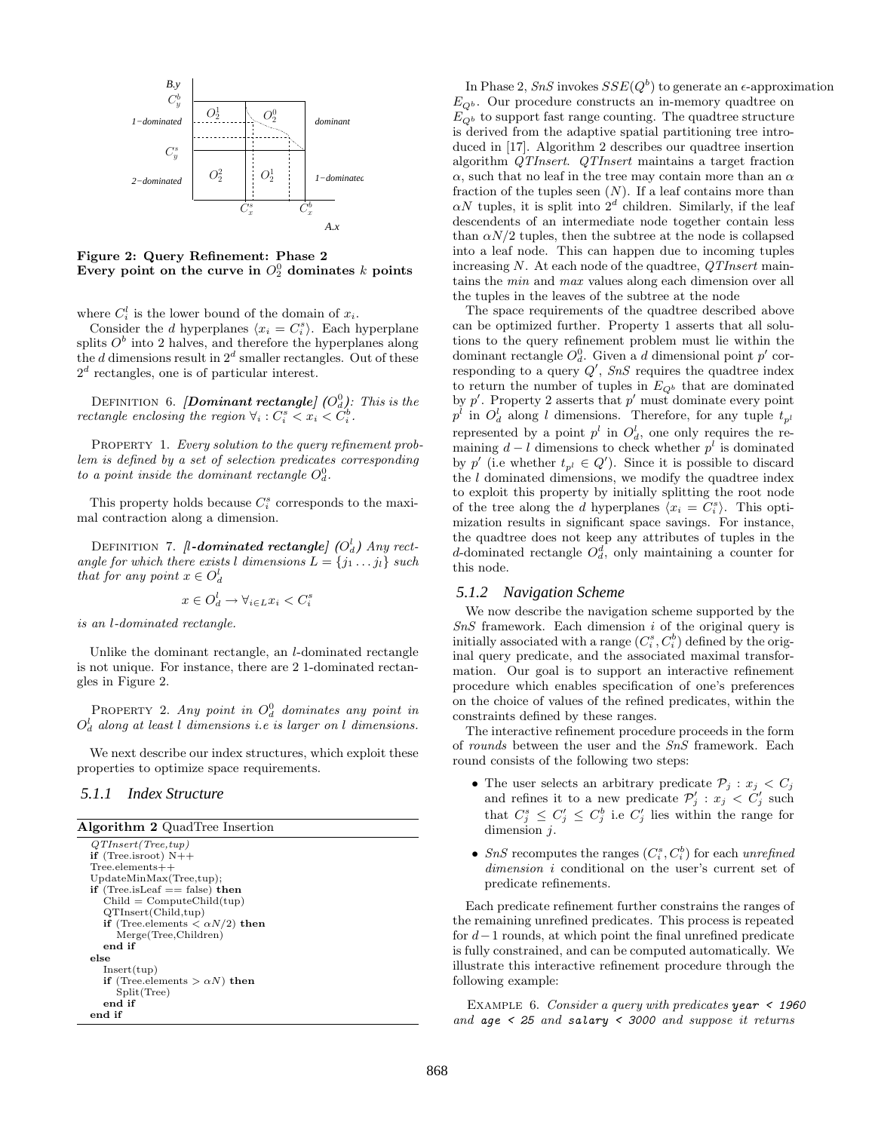

Figure 2: Query Refinement: Phase 2 Every point on the curve in  $O_2^0$  dominates k points

where  $C_i^l$  is the lower bound of the domain of  $x_i$ .

Consider the *d* hyperplanes  $\langle x_i = C_i^s \rangle$ . Each hyperplane splits  $O^b$  into 2 halves, and therefore the hyperplanes along the *d* dimensions result in  $2^d$  smaller rectangles. Out of these  $2<sup>d</sup>$  rectangles, one is of particular interest.

DEFINITION 6. *[Dominant rectangle]*  $(O_d^0)$ : *This is the* rectangle enclosing the region  $\forall i: C_i^s < x_i < C_i^b$ .

PROPERTY 1. Every solution to the query refinement problem is defined by a set of selection predicates corresponding to a point inside the dominant rectangle  $O_d^0$ .

This property holds because  $C_i^s$  corresponds to the maximal contraction along a dimension.

DEFINITION 7. [l-dominated rectangle] (O $_{d}^{l}$ ) Any rectangle for which there exists l dimensions  $L = \{j_1 \dots j_l\}$  such that for any point  $x \in O_d^l$ 

$$
x \in O_d^l \to \forall_{i \in L} x_i < C_i^s
$$

is an l-dominated rectangle.

Unlike the dominant rectangle, an l-dominated rectangle is not unique. For instance, there are 2 1-dominated rectangles in Figure 2.

PROPERTY 2. Any point in  $O_d^0$  dominates any point in  $O_d^l$  along at least l dimensions i.e is larger on l dimensions.

We next describe our index structures, which exploit these properties to optimize space requirements.

## *5.1.1 Index Structure*

| <b>Algorithm 2</b> QuadTree Insertion                 |  |  |
|-------------------------------------------------------|--|--|
| QTInsert(Tree, tup)                                   |  |  |
| if (Tree.isroot) $N++$                                |  |  |
| $Tree. elements++$                                    |  |  |
| UpdateMinMax(Tree.tup);                               |  |  |
| if (Tree.isLeaf $==$ false) then                      |  |  |
| $Child = ComputeChild(tup)$                           |  |  |
| QTInsert(Child, tup)                                  |  |  |
| if (Tree.elements $\langle \alpha N/2 \rangle$ ) then |  |  |
| Merge(Tree,Children)                                  |  |  |
| end if                                                |  |  |
| else                                                  |  |  |
| Insert(tup)                                           |  |  |
| <b>if</b> (Tree.elements $>\alpha N$ ) then           |  |  |
| Split(Tree)                                           |  |  |
| end if                                                |  |  |
| end if                                                |  |  |

In Phase 2,  $SnS$  invokes  $SSE(Q<sup>b</sup>)$  to generate an  $\epsilon$ -approximation  $E_{Q^b}$ . Our procedure constructs an in-memory quadtree on  $E_{Q^b}$  to support fast range counting. The quadtree structure is derived from the adaptive spatial partitioning tree introduced in [17]. Algorithm 2 describes our quadtree insertion algorithm QTInsert. QTInsert maintains a target fraction  $\alpha$ , such that no leaf in the tree may contain more than an  $\alpha$ fraction of the tuples seen  $(N)$ . If a leaf contains more than  $\alpha N$  tuples, it is split into  $2^d$  children. Similarly, if the leaf descendents of an intermediate node together contain less than  $\alpha N/2$  tuples, then the subtree at the node is collapsed into a leaf node. This can happen due to incoming tuples increasing  $N$ . At each node of the quadtree,  $QTInsert$  maintains the min and max values along each dimension over all the tuples in the leaves of the subtree at the node

The space requirements of the quadtree described above can be optimized further. Property 1 asserts that all solutions to the query refinement problem must lie within the dominant rectangle  $O_d^0$ . Given a d dimensional point p' corresponding to a query  $Q'$ , SnS requires the quadtree index to return the number of tuples in  $E_{\mathcal{O}^b}$  that are dominated by  $p'$ . Property 2 asserts that  $p'$  must dominate every point  $p^l$  in  $O_d^l$  along l dimensions. Therefore, for any tuple  $t_{p^l}$ represented by a point  $p^l$  in  $O_d^l$ , one only requires the remaining  $d - l$  dimensions to check whether  $p<sup>l</sup>$  is dominated by p' (i.e whether  $t_{p^l} \in Q'$ ). Since it is possible to discard the  $l$  dominated dimensions, we modify the quadtree index to exploit this property by initially splitting the root node of the tree along the *d* hyperplanes  $\langle x_i = C_i^s \rangle$ . This optimization results in significant space savings. For instance, the quadtree does not keep any attributes of tuples in the d-dominated rectangle  $O_d^d$ , only maintaining a counter for this node.

## *5.1.2 Navigation Scheme*

We now describe the navigation scheme supported by the  $SnS$  framework. Each dimension i of the original query is initially associated with a range  $(C_i^s, C_i^b)$  defined by the original query predicate, and the associated maximal transformation. Our goal is to support an interactive refinement procedure which enables specification of one's preferences on the choice of values of the refined predicates, within the constraints defined by these ranges.

The interactive refinement procedure proceeds in the form of rounds between the user and the SnS framework. Each round consists of the following two steps:

- The user selects an arbitrary predicate  $\mathcal{P}_j : x_j < C_j$ and refines it to a new predicate  $\mathcal{P}'_j : x_j < C'_j$  such that  $C_j^s \leq C_j' \leq C_j^b$  i.e  $C_j'$  lies within the range for dimension  $j$ .
- SnS recomputes the ranges  $(C_i^s, C_i^b)$  for each unrefined dimension *i* conditional on the user's current set of predicate refinements.

Each predicate refinement further constrains the ranges of the remaining unrefined predicates. This process is repeated for d−1 rounds, at which point the final unrefined predicate is fully constrained, and can be computed automatically. We illustrate this interactive refinement procedure through the following example:

Example 6. Consider a query with predicates year < 1960 and age < 25 and salary < 3000 and suppose it returns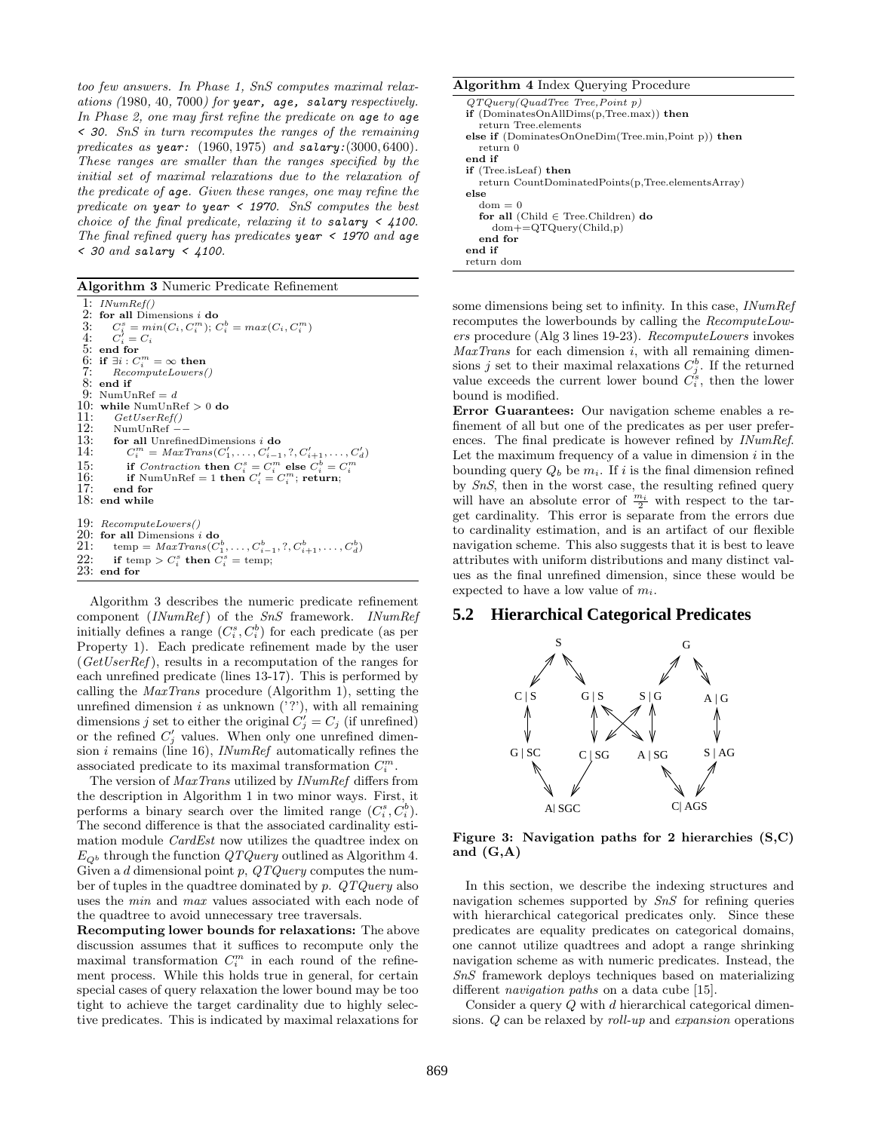too few answers. In Phase 1, SnS computes maximal relaxations (1980, 40, 7000) for year, age, salary respectively. In Phase 2, one may first refine the predicate on age to age < 30. SnS in turn recomputes the ranges of the remaining predicates as year: (1960, 1975) and salary:(3000, 6400). These ranges are smaller than the ranges specified by the initial set of maximal relaxations due to the relaxation of the predicate of age. Given these ranges, one may refine the predicate on year to year  $\leq$  1970. SnS computes the best choice of the final predicate, relaxing it to salary  $\leq$  4100. The final refined query has predicates year < 1970 and age  $<$  30 and salary  $<$  4100.

|     | 1: INumRef()                                                                            |
|-----|-----------------------------------------------------------------------------------------|
|     | 2: for all Dimensions $i$ do                                                            |
|     | 3: $C_i^s = min(C_i, C_i^m); C_i^b = max(C_i, C_i^m)$<br>4: $C_i^b = C_i$<br>5: end for |
|     |                                                                                         |
|     |                                                                                         |
|     | 6: if $\exists i: C_i^m = \infty$ then                                                  |
|     | $7:$ $RecomputeLowers()$                                                                |
|     | $8:$ end if                                                                             |
|     | 9: NumUnRef = $d$                                                                       |
|     | 10: while NumUnRef $> 0$ do                                                             |
|     | 11: $GetUserRef()$                                                                      |
|     | 12: NumUnRef --                                                                         |
|     | 13: for all Unrefined Dimensions $i$ do                                                 |
|     | 14:<br>$C_i^m = MaxTrans(C'_1, \ldots, C'_{i-1}, ?, C'_{i+1}, \ldots, C'_d)$            |
| 15: | if <i>Contraction</i> then $C_i^s = C_i^m$ else $C_i^b = C_i^m$                         |
|     | 16:<br>if NumUnRef = 1 then $C_i' = C_i^m$ ; return;                                    |
| 17: | end for                                                                                 |
|     | 18: end while                                                                           |
|     |                                                                                         |
|     | 19: RecomputeLowers()                                                                   |
|     | 20: for all Dimensions $i$ do                                                           |
|     | 21: $temp = MaxTrans(C_1^b, \ldots, C_{i-1}^b, ?, C_{i+1}^b, \ldots, C_d^b)$            |
| 22: | if temp > $C_i^s$ then $C_i^s$ = temp;                                                  |
|     | $23:$ end for                                                                           |

Algorithm 3 describes the numeric predicate refinement component  $(INumRef)$  of the  $SnS$  framework. INumRef initially defines a range  $(C_i^s, C_i^b)$  for each predicate (as per Property 1). Each predicate refinement made by the user  $(GetUserRef)$ , results in a recomputation of the ranges for each unrefined predicate (lines 13-17). This is performed by calling the MaxTrans procedure (Algorithm 1), setting the unrefined dimension  $i$  as unknown  $('?)$ , with all remaining dimensions j set to either the original  $C'_{j} = C_{j}$  (if unrefined) or the refined  $C'_j$  values. When only one unrefined dimension i remains (line 16),  $INumRef$  automatically refines the associated predicate to its maximal transformation  $C_i^m$ .

The version of MaxTrans utilized by INumRef differs from the description in Algorithm 1 in two minor ways. First, it performs a binary search over the limited range  $(C_i^s, C_i^b)$ . The second difference is that the associated cardinality estimation module CardEst now utilizes the quadtree index on  $E_{\mathcal{O}^b}$  through the function  $QTQuery$  outlined as Algorithm 4. Given a  $d$  dimensional point  $p$ ,  $QTQuery$  computes the number of tuples in the quadtree dominated by p. QTQuery also uses the min and max values associated with each node of the quadtree to avoid unnecessary tree traversals.

Recomputing lower bounds for relaxations: The above discussion assumes that it suffices to recompute only the maximal transformation  $C_i^m$  in each round of the refinement process. While this holds true in general, for certain special cases of query relaxation the lower bound may be too tight to achieve the target cardinality due to highly selective predicates. This is indicated by maximal relaxations for

#### Algorithm 4 Index Querying Procedure

| QTQuery(QuadTree Tree, Point p)                      |
|------------------------------------------------------|
| if $(DominatesOnAllDims(p,Tree.max))$ then           |
| return Tree.elements                                 |
| else if $(DominatesOnOneDim(Tree.min.Point p))$ then |
| return 0                                             |
| end if                                               |
| if (Tree.isLeaf) then                                |
| return CountDominatedPoints(p,Tree.elementsArray)    |
| else                                                 |
| $dom = 0$                                            |
| for all (Child $\in$ Tree. Children) do              |
| $dom+=QTQuery(Child,p)$                              |
| end for                                              |
| end if                                               |
| return dom                                           |

some dimensions being set to infinity. In this case, INumRef recomputes the lowerbounds by calling the RecomputeLowers procedure (Alg 3 lines 19-23). RecomputeLowers invokes  $MaxTrans$  for each dimension  $i$ , with all remaining dimensions j set to their maximal relaxations  $C_j^b$ . If the returned value exceeds the current lower bound  $C_i^s$ , then the lower bound is modified.

Error Guarantees: Our navigation scheme enables a refinement of all but one of the predicates as per user preferences. The final predicate is however refined by INumRef. Let the maximum frequency of a value in dimension  $i$  in the bounding query  $Q_b$  be  $m_i$ . If i is the final dimension refined by SnS, then in the worst case, the resulting refined query will have an absolute error of  $\frac{m_i}{2}$  with respect to the target cardinality. This error is separate from the errors due to cardinality estimation, and is an artifact of our flexible navigation scheme. This also suggests that it is best to leave attributes with uniform distributions and many distinct values as the final unrefined dimension, since these would be expected to have a low value of  $m_i$ .

## **5.2 Hierarchical Categorical Predicates**



Figure 3: Navigation paths for 2 hierarchies (S,C) and  $(G,A)$ 

In this section, we describe the indexing structures and navigation schemes supported by SnS for refining queries with hierarchical categorical predicates only. Since these predicates are equality predicates on categorical domains, one cannot utilize quadtrees and adopt a range shrinking navigation scheme as with numeric predicates. Instead, the SnS framework deploys techniques based on materializing different *navigation paths* on a data cube [15].

Consider a query  $Q$  with  $d$  hierarchical categorical dimensions. Q can be relaxed by roll-up and expansion operations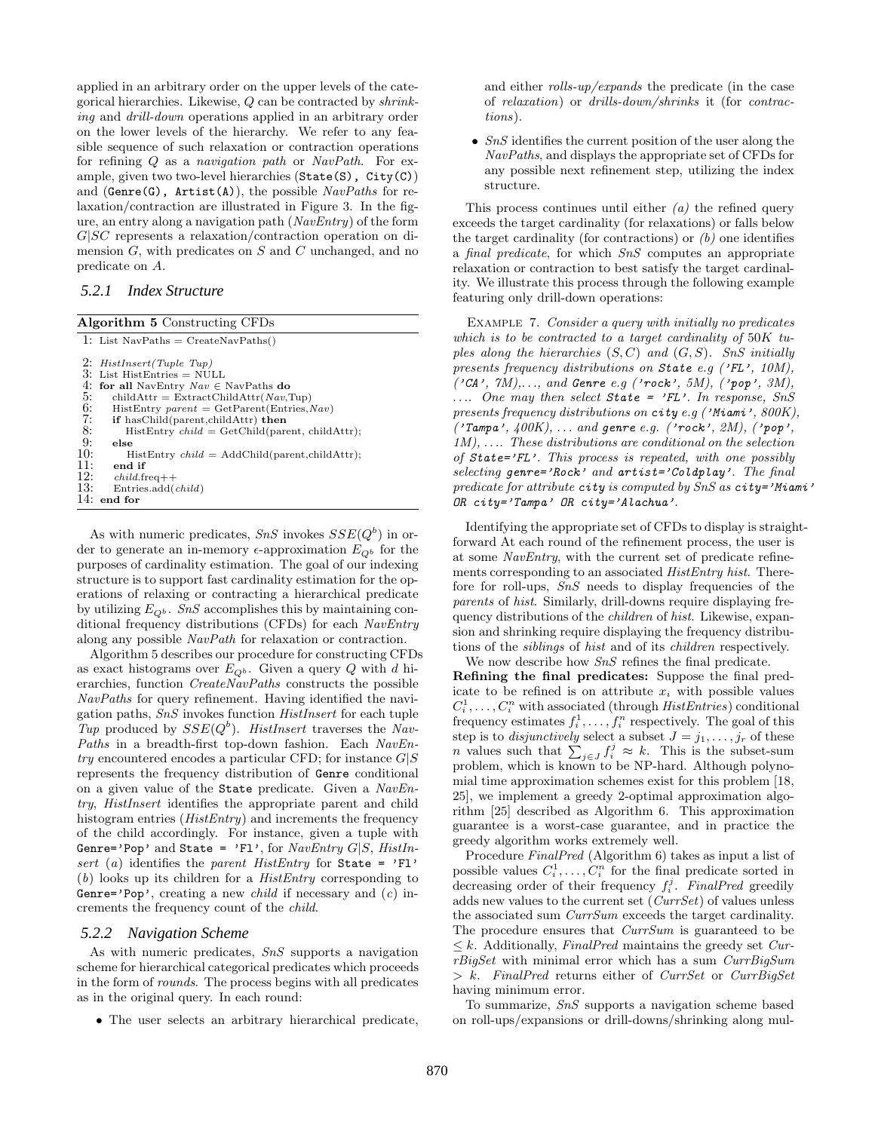applied in an arbitrary order on the upper levels of the categorical hierarchies. Likewise, Q can be contracted by shrinking and drill-down operations applied in an arbitrary order on the lower levels of the hierarchy. We refer to any feasible sequence of such relaxation or contraction operations for refining Q as a navigation path or NavPath. For example, given two two-level hierarchies (State(S), City(C)) and (Genre(G),  $Artist(A)$ ), the possible  $NavPaths$  for relaxation/contraction are illustrated in Figure 3. In the figure, an entry along a navigation path (NavEntry) of the form G|SC represents a relaxation/contraction operation on dimension  $G$ , with predicates on  $S$  and  $C$  unchanged, and no predicate on A.

## *5.2.1 Index Structure*

| <b>Algorithm 5</b> Constructing CFDs |                                                                         |  |
|--------------------------------------|-------------------------------------------------------------------------|--|
|                                      | 1: List NavPaths = $CreateNavPaths()$                                   |  |
|                                      |                                                                         |  |
|                                      | 2: HistInsert(Tuple Tup)                                                |  |
|                                      | $3:$ List HistEntries = NULL                                            |  |
|                                      | 4: for all NavEntry $Nav \in \text{NavPaths}$ do                        |  |
| 5:                                   | child $\text{Attr} = \text{ExtractChild}(\text{Attr}(Nav, \text{Tup}))$ |  |
| $rac{6}{7}$                          | $HistEntry\ parent = GetParent(Entries, Nav)$                           |  |
|                                      | <b>if</b> has Child (parent, child Attr) then                           |  |
| 8:                                   | $HistEntry \ child = GetChild(parent, childAttr);$                      |  |
| 9:                                   | else                                                                    |  |
| 10:                                  | $HistEntry \ child = AddChild(parent, childAttr);$                      |  |
| 11:                                  | end if                                                                  |  |
| 12:                                  | $child$ freq $++$                                                       |  |
| 13:                                  | Entries.add(child)                                                      |  |
| 14:                                  | end for                                                                 |  |

As with numeric predicates,  $SnS$  invokes  $SSE(Q<sup>b</sup>)$  in order to generate an in-memory  $\epsilon$ -approximation  $E_{\mathcal{O}^b}$  for the purposes of cardinality estimation. The goal of our indexing structure is to support fast cardinality estimation for the operations of relaxing or contracting a hierarchical predicate by utilizing  $E_{Q^b}$ . SnS accomplishes this by maintaining conditional frequency distributions (CFDs) for each NavEntry along any possible NavPath for relaxation or contraction.

Algorithm 5 describes our procedure for constructing CFDs as exact histograms over  $E_{\mathcal{O}^b}$ . Given a query Q with d hierarchies, function CreateNavPaths constructs the possible NavPaths for query refinement. Having identified the navigation paths, SnS invokes function HistInsert for each tuple Tup produced by  $SSE(Q^b)$ . HistInsert traverses the Nav-Paths in a breadth-first top-down fashion. Each NavEn $try$  encountered encodes a particular CFD; for instance  $G|S$ represents the frequency distribution of Genre conditional on a given value of the State predicate. Given a NavEntry, HistInsert identifies the appropriate parent and child histogram entries (*HistEntry*) and increments the frequency of the child accordingly. For instance, given a tuple with Genre='Pop' and State = 'Fl', for  $NavEntry$  G|S, HistInsert (a) identifies the parent HistEntry for State =  $'F1'$  $(b)$  looks up its children for a *HistEntry* corresponding to Genre='Pop', creating a new *child* if necessary and  $(c)$  increments the frequency count of the child.

## *5.2.2 Navigation Scheme*

As with numeric predicates,  $SnS$  supports a navigation scheme for hierarchical categorical predicates which proceeds in the form of rounds. The process begins with all predicates as in the original query. In each round:

• The user selects an arbitrary hierarchical predicate,

and either rolls-up/expands the predicate (in the case of relaxation) or drills-down/shrinks it (for contractions).

•  $SnS$  identifies the current position of the user along the NavPaths, and displays the appropriate set of CFDs for any possible next refinement step, utilizing the index structure.

This process continues until either  $(a)$  the refined query exceeds the target cardinality (for relaxations) or falls below the target cardinality (for contractions) or  $(b)$  one identifies a final predicate, for which SnS computes an appropriate relaxation or contraction to best satisfy the target cardinality. We illustrate this process through the following example featuring only drill-down operations:

EXAMPLE 7. Consider a query with initially no predicates which is to be contracted to a target cardinality of 50K tuples along the hierarchies  $(S, C)$  and  $(G, S)$ . SnS initially presents frequency distributions on State e.g ('FL', 10M), ('CA',  $7M$ ),..., and Genre e.g ('rock', 5M), ('pop', 3M), .... One may then select  $State = 'FL'.$  In response,  $SnS$ presents frequency distributions on city e.g ('Miami',  $800K$ ), ('Tampa',  $400K$ ), ... and genre e.g. ('rock', 2M), ('pop',  $1M)$ , .... These distributions are conditional on the selection of State='FL'. This process is repeated, with one possibly selecting genre='Rock' and  $artist='Coldplay'.$  The final predicate for attribute  $city$  is computed by SnS as  $city='Miam'$ OR city='Tampa' OR city='Alachua'.

Identifying the appropriate set of CFDs to display is straightforward At each round of the refinement process, the user is at some NavEntry, with the current set of predicate refinements corresponding to an associated HistEntry hist. Therefore for roll-ups, SnS needs to display frequencies of the parents of hist. Similarly, drill-downs require displaying frequency distributions of the children of hist. Likewise, expansion and shrinking require displaying the frequency distributions of the siblings of hist and of its children respectively.

We now describe how  $SnS$  refines the final predicate. Refining the final predicates: Suppose the final predicate to be refined is on attribute  $x_i$  with possible values  $C_i^1, \ldots, C_i^n$  with associated (through  $HistEntries$ ) conditional frequency estimates  $f_i^1, \ldots, f_i^n$  respectively. The goal of this step is to *disjunctively* select a subset  $J = j_1, \ldots, j_r$  of these *n* values such that  $\sum_{j\in J} f_i^j \approx k$ . This is the subset-sum problem, which is known to be NP-hard. Although polynomial time approximation schemes exist for this problem [18, 25], we implement a greedy 2-optimal approximation algorithm [25] described as Algorithm 6. This approximation guarantee is a worst-case guarantee, and in practice the greedy algorithm works extremely well.

Procedure FinalPred (Algorithm 6) takes as input a list of possible values  $C_i^1, \ldots, C_i^n$  for the final predicate sorted in decreasing order of their frequency  $f_i^j$ . FinalPred greedily adds new values to the current set (CurrSet) of values unless the associated sum CurrSum exceeds the target cardinality. The procedure ensures that CurrSum is guaranteed to be  $\leq k$ . Additionally, *FinalPred* maintains the greedy set *Cur* $rBigSet$  with minimal error which has a sum  $CurrBigSum$  $> k$ . FinalPred returns either of CurrSet or CurrBigSet having minimum error.

To summarize, SnS supports a navigation scheme based on roll-ups/expansions or drill-downs/shrinking along mul-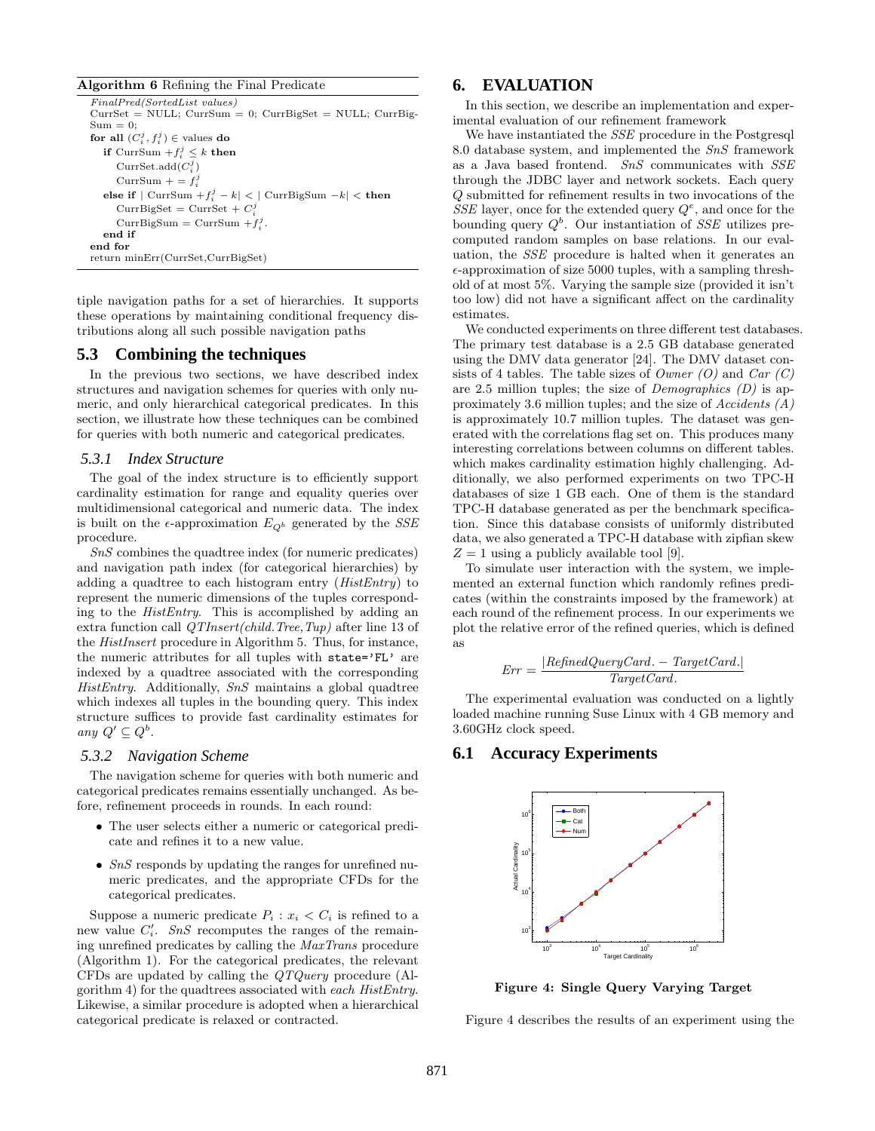#### Algorithm 6 Refining the Final Predicate

FinalPred(SortedList values)  $CurrSet = NULL$ ;  $CurrSum = 0$ ;  $CurrBigSet = NULL$ ;  $CurrBigSet$  $Sum = 0$ : for all  $(C_i^j, f_i^j) \in$  values do if CurrSum  $+f_i^j \leq k$  then  $\text{CurrSet}.\text{add}(C_i^j)$ CurrSum + =  $f_i^j$ else if | CurrSum + $f_i^j - k$ | < | CurrBigSum − $k$ | < then CurrBigSet = CurrSet +  $C_i^j$ CurrBigSum = CurrSum  $+f_i^j$ . end if end for return minErr(CurrSet,CurrBigSet)

tiple navigation paths for a set of hierarchies. It supports these operations by maintaining conditional frequency distributions along all such possible navigation paths

# **5.3 Combining the techniques**

In the previous two sections, we have described index structures and navigation schemes for queries with only numeric, and only hierarchical categorical predicates. In this section, we illustrate how these techniques can be combined for queries with both numeric and categorical predicates.

#### *5.3.1 Index Structure*

The goal of the index structure is to efficiently support cardinality estimation for range and equality queries over multidimensional categorical and numeric data. The index is built on the  $\epsilon$ -approximation  $E_{\mathcal{O}^b}$  generated by the SSE procedure.

 $SnS$  combines the quadtree index (for numeric predicates) and navigation path index (for categorical hierarchies) by adding a quadtree to each histogram entry  $(HistEntry)$  to represent the numeric dimensions of the tuples corresponding to the HistEntry. This is accomplished by adding an extra function call QTInsert(child.Tree,Tup) after line 13 of the HistInsert procedure in Algorithm 5. Thus, for instance, the numeric attributes for all tuples with state='FL' are indexed by a quadtree associated with the corresponding HistEntry. Additionally, SnS maintains a global quadtree which indexes all tuples in the bounding query. This index structure suffices to provide fast cardinality estimates for any  $Q' \subseteq Q^b$ .

#### *5.3.2 Navigation Scheme*

The navigation scheme for queries with both numeric and categorical predicates remains essentially unchanged. As before, refinement proceeds in rounds. In each round:

- The user selects either a numeric or categorical predicate and refines it to a new value.
- SnS responds by updating the ranges for unrefined numeric predicates, and the appropriate CFDs for the categorical predicates.

Suppose a numeric predicate  $P_i : x_i \leq C_i$  is refined to a new value  $C_i'$ . SnS recomputes the ranges of the remaining unrefined predicates by calling the MaxTrans procedure (Algorithm 1). For the categorical predicates, the relevant CFDs are updated by calling the QTQuery procedure (Algorithm 4) for the quadtrees associated with each HistEntry. Likewise, a similar procedure is adopted when a hierarchical categorical predicate is relaxed or contracted.

# **6. EVALUATION**

In this section, we describe an implementation and experimental evaluation of our refinement framework

We have instantiated the SSE procedure in the Postgresql 8.0 database system, and implemented the SnS framework as a Java based frontend. SnS communicates with SSE through the JDBC layer and network sockets. Each query Q submitted for refinement results in two invocations of the SSE layer, once for the extended query  $Q^e$ , and once for the bounding query  $Q^b$ . Our instantiation of SSE utilizes precomputed random samples on base relations. In our evaluation, the SSE procedure is halted when it generates an  $\epsilon$ -approximation of size 5000 tuples, with a sampling threshold of at most 5%. Varying the sample size (provided it isn't too low) did not have a significant affect on the cardinality estimates.

We conducted experiments on three different test databases. The primary test database is a 2.5 GB database generated using the DMV data generator [24]. The DMV dataset consists of 4 tables. The table sizes of *Owner* (O) and *Car* (C) are 2.5 million tuples; the size of *Demographics*  $(D)$  is approximately 3.6 million tuples; and the size of Accidents (A) is approximately 10.7 million tuples. The dataset was generated with the correlations flag set on. This produces many interesting correlations between columns on different tables. which makes cardinality estimation highly challenging. Additionally, we also performed experiments on two TPC-H databases of size 1 GB each. One of them is the standard TPC-H database generated as per the benchmark specification. Since this database consists of uniformly distributed data, we also generated a TPC-H database with zipfian skew  $Z = 1$  using a publicly available tool [9].

To simulate user interaction with the system, we implemented an external function which randomly refines predicates (within the constraints imposed by the framework) at each round of the refinement process. In our experiments we plot the relative error of the refined queries, which is defined as

$$
Err = \frac{|RefinedQueryCard. - TargetCard.|}{TargetCard.}
$$

The experimental evaluation was conducted on a lightly loaded machine running Suse Linux with 4 GB memory and 3.60GHz clock speed.

## **6.1 Accuracy Experiments**



Figure 4: Single Query Varying Target

Figure 4 describes the results of an experiment using the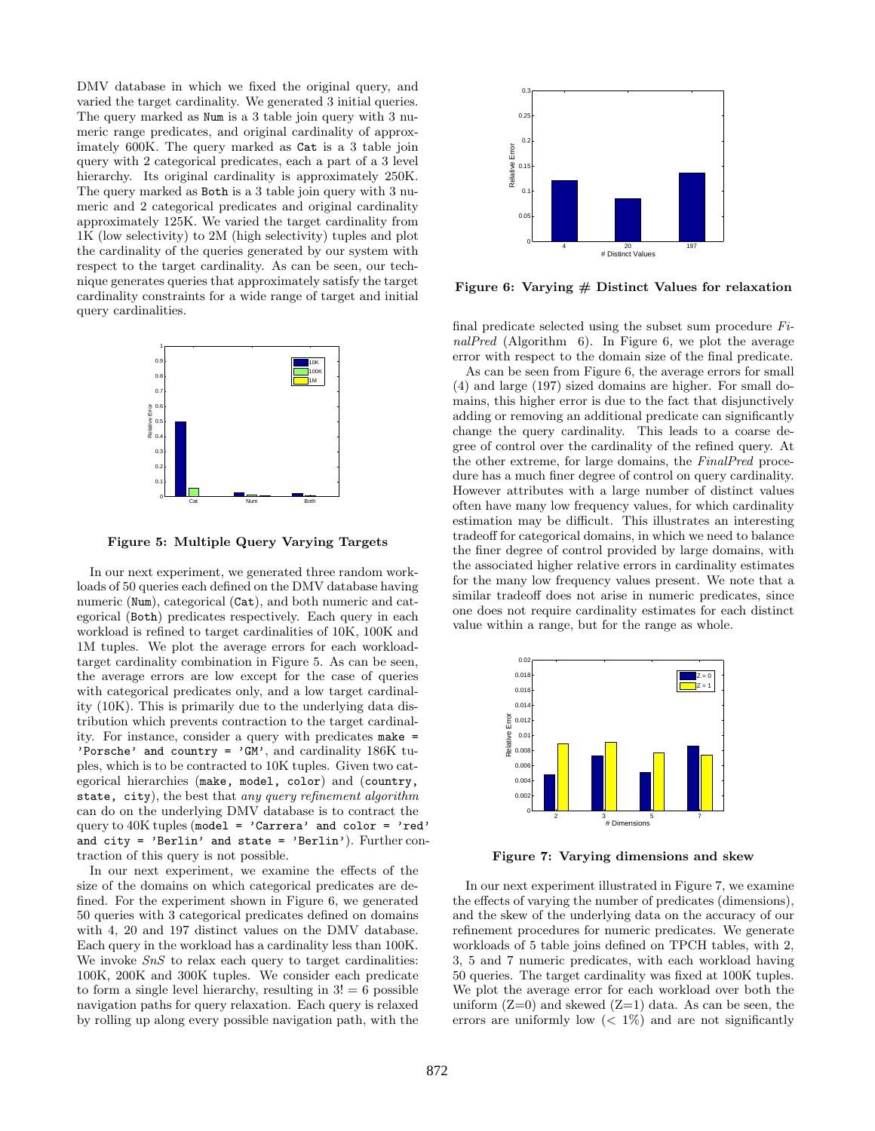DMV database in which we fixed the original query, and varied the target cardinality. We generated 3 initial queries. The query marked as Num is a 3 table join query with 3 numeric range predicates, and original cardinality of approximately 600K. The query marked as Cat is a 3 table join query with 2 categorical predicates, each a part of a 3 level hierarchy. Its original cardinality is approximately  $250K$ . The query marked as Both is a 3 table join query with 3 numeric and 2 categorical predicates and original cardinality approximately 125K. We varied the target cardinality from 1K (low selectivity) to 2M (high selectivity) tuples and plot the cardinality of the queries generated by our system with respect to the target cardinality. As can be seen, our technique generates queries that approximately satisfy the target cardinality constraints for a wide range of target and initial query cardinalities.



Figure 5: Multiple Query Varying Targets

In our next experiment, we generated three random workloads of 50 queries each defined on the DMV database having numeric (Num), categorical (Cat), and both numeric and categorical (Both) predicates respectively. Each query in each workload is refined to target cardinalities of 10K, 100K and 1M tuples. We plot the average errors for each workloadtarget cardinality combination in Figure 5. As can be seen, the average errors are low except for the case of queries with categorical predicates only, and a low target cardinality (10K). This is primarily due to the underlying data distribution which prevents contraction to the target cardinality. For instance, consider a query with predicates make = 'Porsche' and country = 'GM', and cardinality  $186K$  tuples, which is to be contracted to 10K tuples. Given two categorical hierarchies (make, model, color) and (country, state, city), the best that any query refinement algorithm can do on the underlying DMV database is to contract the query to  $40K$  tuples (model = 'Carrera' and color = 'red' and city = 'Berlin' and state = 'Berlin'). Further contraction of this query is not possible.

In our next experiment, we examine the effects of the size of the domains on which categorical predicates are defined. For the experiment shown in Figure 6, we generated 50 queries with 3 categorical predicates defined on domains with 4, 20 and 197 distinct values on the DMV database. Each query in the workload has a cardinality less than 100K. We invoke  $SnS$  to relax each query to target cardinalities: 100K, 200K and 300K tuples. We consider each predicate to form a single level hierarchy, resulting in  $3! = 6$  possible navigation paths for query relaxation. Each query is relaxed by rolling up along every possible navigation path, with the



Figure 6: Varying  $#$  Distinct Values for relaxation

final predicate selected using the subset sum procedure FinalPred (Algorithm 6). In Figure 6, we plot the average error with respect to the domain size of the final predicate.

As can be seen from Figure 6, the average errors for small (4) and large (197) sized domains are higher. For small domains, this higher error is due to the fact that disjunctively adding or removing an additional predicate can significantly change the query cardinality. This leads to a coarse degree of control over the cardinality of the refined query. At the other extreme, for large domains, the FinalPred procedure has a much finer degree of control on query cardinality. However attributes with a large number of distinct values often have many low frequency values, for which cardinality estimation may be difficult. This illustrates an interesting tradeoff for categorical domains, in which we need to balance the finer degree of control provided by large domains, with the associated higher relative errors in cardinality estimates for the many low frequency values present. We note that a similar tradeoff does not arise in numeric predicates, since one does not require cardinality estimates for each distinct value within a range, but for the range as whole.



Figure 7: Varying dimensions and skew

In our next experiment illustrated in Figure 7, we examine the effects of varying the number of predicates (dimensions), and the skew of the underlying data on the accuracy of our refinement procedures for numeric predicates. We generate workloads of 5 table joins defined on TPCH tables, with 2, 3, 5 and 7 numeric predicates, with each workload having 50 queries. The target cardinality was fixed at 100K tuples. We plot the average error for each workload over both the uniform  $(Z=0)$  and skewed  $(Z=1)$  data. As can be seen, the errors are uniformly low  $\left($  < 1%) and are not significantly